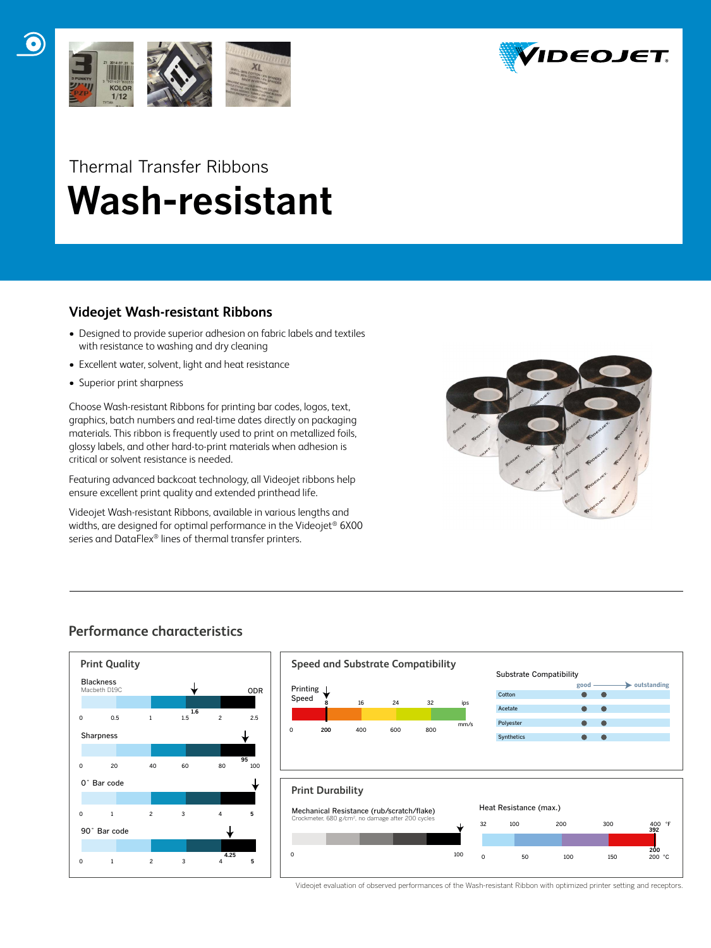



## Thermal Transfer Ribbons  **Wash-resistant**

### **Videojet Wash-resistant Ribbons**

- Designed to provide superior adhesion on fabric labels and textiles with resistance to washing and dry cleaning
- Excellent water, solvent, light and heat resistance
- Superior print sharpness

Choose Wash-resistant Ribbons for printing bar codes, logos, text, graphics, batch numbers and real-time dates directly on packaging materials. This ribbon is frequently used to print on metallized foils, glossy labels, and other hard-to-print materials when adhesion is critical or solvent resistance is needed.

Featuring advanced backcoat technology, all Videojet ribbons help ensure excellent print quality and extended printhead life.

Videojet Wash-resistant Ribbons, available in various lengths and widths, are designed for optimal performance in the Videojet<sup>®</sup> 6X00 series and DataFlex® lines of thermal transfer printers.



## **Performance characteristics**





Videojet evaluation of observed performances of the Wash-resistant Ribbon with optimized printer setting and receptors.